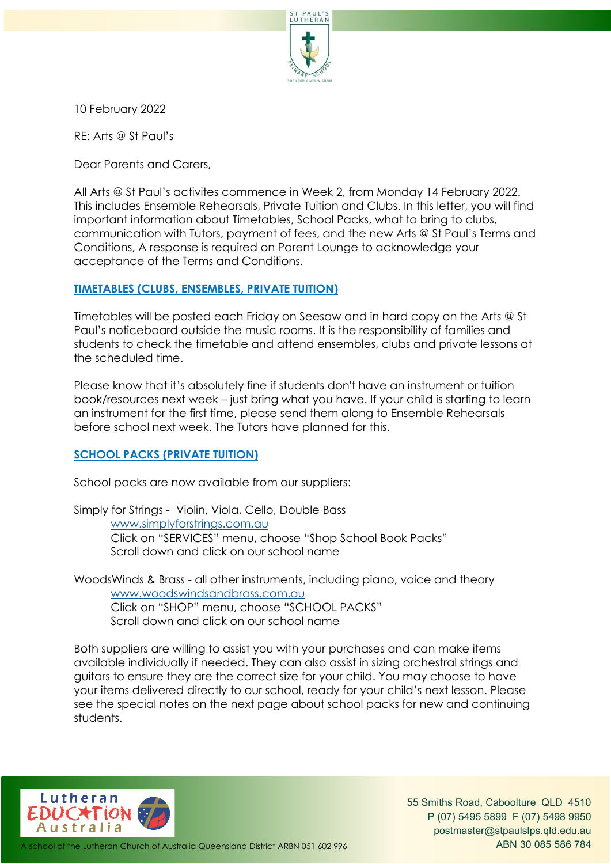

10 February 2022

RE: Arts @ St Paul's

Dear Parents and Carers,

All Arts @ St Paul's activites commence in Week 2, from Monday 14 February 2022. This includes Ensemble Rehearsals, Private Tuition and Clubs. In this letter, you will find important information about Timetables, School Packs, what to bring to clubs, communication with Tutors, payment of fees, and the new Arts @ St Paul's Terms and Conditions, A response is required on Parent Lounge to acknowledge your acceptance of the Terms and Conditions.

### **TIMETABLES (CLUBS, ENSEMBLES, PRIVATE TUITION)**

Timetables will be posted each Friday on Seesaw and in hard copy on the Arts @ St Paul's noticeboard outside the music rooms. It is the responsibility of families and students to check the timetable and attend ensembles, clubs and private lessons at the scheduled time.

Please know that it's absolutely fine if students don't have an instrument or tuition book/resources next week – just bring what you have. If your child is starting to learn an instrument for the first time, please send them along to Ensemble Rehearsals before school next week. The Tutors have planned for this.

## **SCHOOL PACKS (PRIVATE TUITION)**

School packs are now available from our suppliers:

Simply for Strings - Violin, Viola, Cello, Double Bass [www.simplyforstrings.com.au](http://www.simplyforstrings.com.au/) Click on "SERVICES" menu, choose "Shop School Book Packs" Scroll down and click on our school name

WoodsWinds & Brass - all other instruments, including piano, voice and theory [www.woodswindsandbrass.com.au](http://www.woodswindsandbrass.com.au/) Click on "SHOP" menu, choose "SCHOOL PACKS" Scroll down and click on our school name

Both suppliers are willing to assist you with your purchases and can make items available individually if needed. They can also assist in sizing orchestral strings and guitars to ensure they are the correct size for your child. You may choose to have your items delivered directly to our school, ready for your child's next lesson. Please see the special notes on the next page about school packs for new and continuing students.



55 Smiths Road, Caboolture QLD 4510 P (07) 5495 5899 F (07) 5498 9950 [postmaster@stpaulslps.qld.edu.au](mailto:postmaster@stpaulslps.qld.edu.au)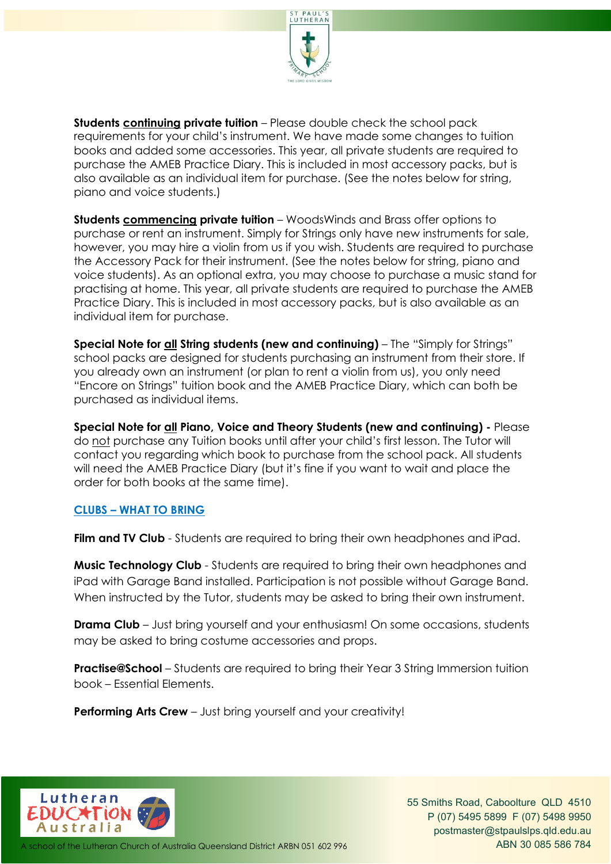

**Students continuing private tuition** – Please double check the school pack requirements for your child's instrument. We have made some changes to tuition books and added some accessories. This year, all private students are required to purchase the AMEB Practice Diary. This is included in most accessory packs, but is also available as an individual item for purchase. (See the notes below for string, piano and voice students.)

**Students commencing private tuition** – WoodsWinds and Brass offer options to purchase or rent an instrument. Simply for Strings only have new instruments for sale, however, you may hire a violin from us if you wish. Students are required to purchase the Accessory Pack for their instrument. (See the notes below for string, piano and voice students). As an optional extra, you may choose to purchase a music stand for practising at home. This year, all private students are required to purchase the AMEB Practice Diary. This is included in most accessory packs, but is also available as an individual item for purchase.

**Special Note for all String students (new and continuing)** – The "Simply for Strings" school packs are designed for students purchasing an instrument from their store. If you already own an instrument (or plan to rent a violin from us), you only need "Encore on Strings" tuition book and the AMEB Practice Diary, which can both be purchased as individual items.

**Special Note for all Piano, Voice and Theory Students (new and continuing) -** Please do not purchase any Tuition books until after your child's first lesson. The Tutor will contact you regarding which book to purchase from the school pack. All students will need the AMEB Practice Diary (but it's fine if you want to wait and place the order for both books at the same time).

## **CLUBS – WHAT TO BRING**

**Film and TV Club** - Students are required to bring their own headphones and iPad.

**Music Technology Club** - Students are required to bring their own headphones and iPad with Garage Band installed. Participation is not possible without Garage Band. When instructed by the Tutor, students may be asked to bring their own instrument.

**Drama Club** – Just bring yourself and your enthusiasm! On some occasions, students may be asked to bring costume accessories and props.

**Practise@School** – Students are required to bring their Year 3 String Immersion tuition book – Essential Elements.

**Performing Arts Crew** - Just bring yourself and your creativity!

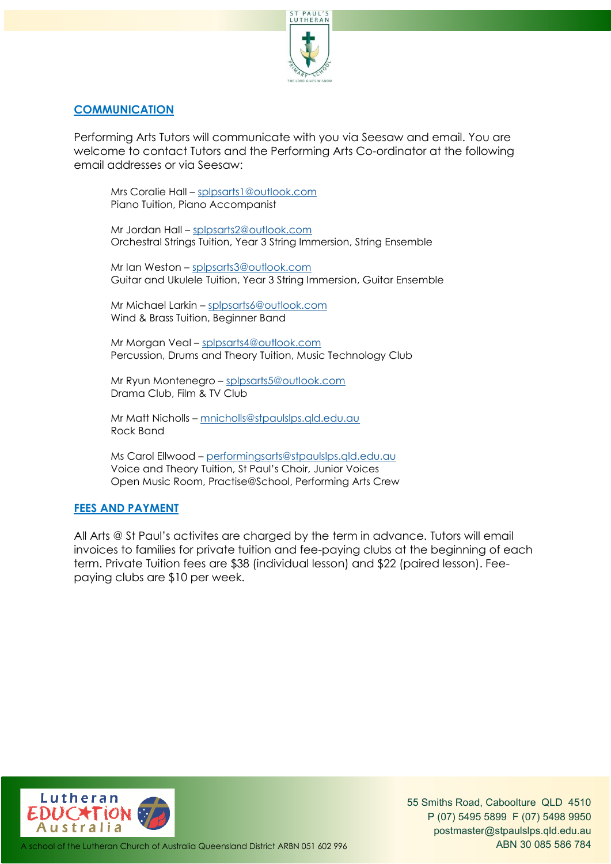

#### **COMMUNICATION**

Performing Arts Tutors will communicate with you via Seesaw and email. You are welcome to contact Tutors and the Performing Arts Co-ordinator at the following email addresses or via Seesaw:

Mrs Coralie Hall – [splpsarts1@outlook.com](mailto:splpsarts1@outlook.com) Piano Tuition, Piano Accompanist

Mr Jordan Hall – [splpsarts2@outlook.com](mailto:splpsarts2@outlook.com) Orchestral Strings Tuition, Year 3 String Immersion, String Ensemble

Mr Ian Weston – [splpsarts3@outlook.com](mailto:splpsarts3@outlook.com) Guitar and Ukulele Tuition, Year 3 String Immersion, Guitar Ensemble

Mr Michael Larkin – [splpsarts6@outlook.com](mailto:splpsarts6@outlook.com) Wind & Brass Tuition, Beginner Band

Mr Morgan Veal – [splpsarts4@outlook.com](mailto:splpsarts4@outlook.com) Percussion, Drums and Theory Tuition, Music Technology Club

Mr Ryun Montenegro – [splpsarts5@outlook.com](mailto:splpsarts5@outlook.com) Drama Club, Film & TV Club

Mr Matt Nicholls – [mnicholls@stpaulslps.qld.edu.au](mailto:mnicholls@stpaulslps.qld.edu.au) Rock Band

Ms Carol Ellwood – [performingsarts@stpaulslps.qld.edu.au](mailto:performingsarts@stpaulslps.qld.edu.au) Voice and Theory Tuition, St Paul's Choir, Junior Voices Open Music Room, Practise@School, Performing Arts Crew

#### **FEES AND PAYMENT**

All Arts @ St Paul's activites are charged by the term in advance. Tutors will email invoices to families for private tuition and fee-paying clubs at the beginning of each term. Private Tuition fees are \$38 (individual lesson) and \$22 (paired lesson). Feepaying clubs are \$10 per week.



55 Smiths Road, Caboolture QLD 4510 P (07) 5495 5899 F (07) 5498 9950 [postmaster@stpaulslps.qld.edu.au](mailto:postmaster@stpaulslps.qld.edu.au)

A school of the Lutheran Church of Australia Queensland District ARBN 051 602 996 **ABN 30 085 586 784**